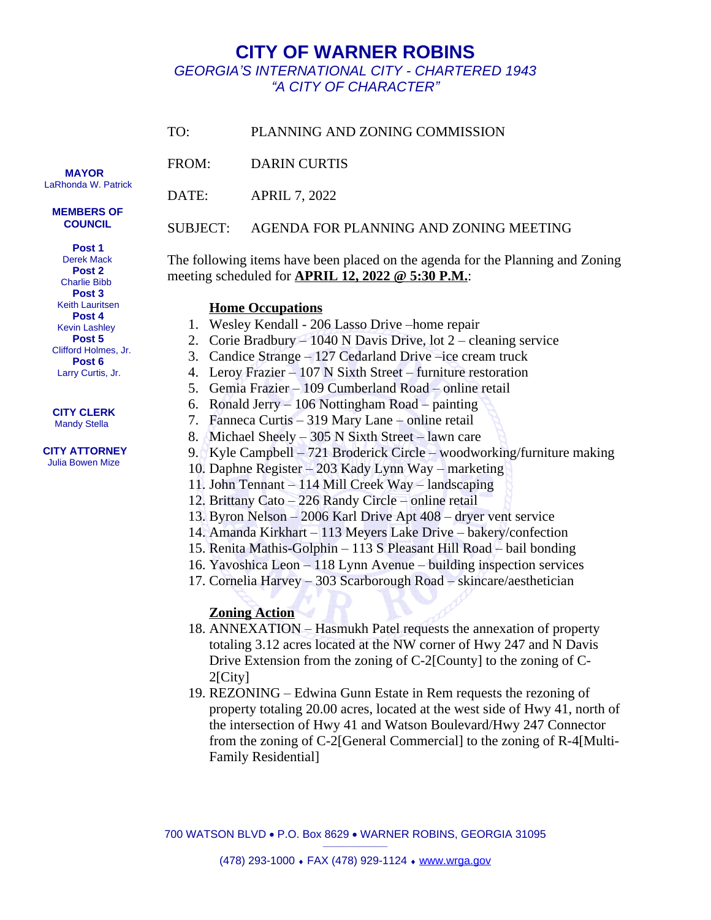## **CITY OF WARNER ROBINS** *GEORGIA'S INTERNATIONAL CITY - CHARTERED 1943 "A CITY OF CHARACTER"*

| TO:      | PLANNING AND ZONING COMMISSION                                                                                                      |  |
|----------|-------------------------------------------------------------------------------------------------------------------------------------|--|
| FROM:    | <b>DARIN CURTIS</b>                                                                                                                 |  |
| DATE:    | <b>APRIL 7, 2022</b>                                                                                                                |  |
| SUBJECT: | AGENDA FOR PLANNING AND ZONING MEETING                                                                                              |  |
|          | The following items have been placed on the agenda for the Planning and Zoning<br>meeting scheduled for APRIL 12, 2022 @ 5:30 P.M.: |  |

## **Home Occupations**

- 1. Wesley Kendall 206 Lasso Drive –home repair
- 2. Corie Bradbury 1040 N Davis Drive, lot 2 cleaning service
- 3. Candice Strange 127 Cedarland Drive –ice cream truck
- 4. Leroy Frazier 107 N Sixth Street furniture restoration
- 5. Gemia Frazier 109 Cumberland Road online retail
- 6. Ronald Jerry 106 Nottingham Road painting
- 7. Fanneca Curtis 319 Mary Lane online retail
- 8. Michael Sheely 305 N Sixth Street lawn care
- 9. Kyle Campbell 721 Broderick Circle woodworking/furniture making
- 10. Daphne Register 203 Kady Lynn Way marketing
- 11. John Tennant 114 Mill Creek Way landscaping
- 12. Brittany Cato 226 Randy Circle online retail
- 13. Byron Nelson 2006 Karl Drive Apt 408 dryer vent service
- 14. Amanda Kirkhart 113 Meyers Lake Drive bakery/confection
- 15. Renita Mathis-Golphin 113 S Pleasant Hill Road bail bonding
- 16. Yavoshica Leon 118 Lynn Avenue building inspection services
- 17. Cornelia Harvey 303 Scarborough Road skincare/aesthetician

## **Zoning Action**

- 18. ANNEXATION Hasmukh Patel requests the annexation of property totaling 3.12 acres located at the NW corner of Hwy 247 and N Davis Drive Extension from the zoning of C-2[County] to the zoning of C-2[City]
- 19. REZONING Edwina Gunn Estate in Rem requests the rezoning of property totaling 20.00 acres, located at the west side of Hwy 41, north of the intersection of Hwy 41 and Watson Boulevard/Hwy 247 Connector from the zoning of C-2[General Commercial] to the zoning of R-4[Multi-Family Residential]

700 WATSON BLVD · P.O. Box 8629 · WARNER ROBINS, GEORGIA 31095  $\_$ 

 **MAYOR** LaRhonda W. Patrick

> **MEMBERS OF COUNCIL**

> > **Post 1**

 Derek Mack  **Post 2** Charlie Bibb  **Post 3** Keith Lauritsen  **Post 4** Kevin Lashley  **Post 5** Clifford Holmes, Jr.  **Post 6** Larry Curtis, Jr.

## **CITY CLERK** Mandy Stella

 **CITY ATTORNEY** Julia Bowen Mize